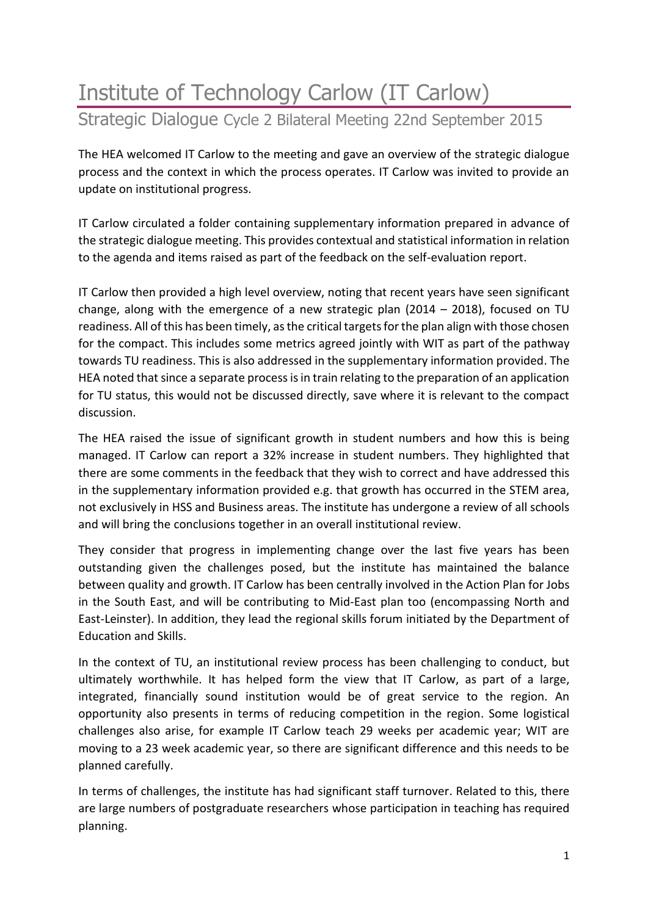## Institute of Technology Carlow (IT Carlow) Strategic Dialogue Cycle 2 Bilateral Meeting 22nd September 2015

The HEA welcomed IT Carlow to the meeting and gave an overview of the strategic dialogue process and the context in which the process operates. IT Carlow was invited to provide an update on institutional progress.

IT Carlow circulated a folder containing supplementary information prepared in advance of the strategic dialogue meeting. This provides contextual and statistical information in relation to the agenda and items raised as part of the feedback on the self-evaluation report.

IT Carlow then provided a high level overview, noting that recent years have seen significant change, along with the emergence of a new strategic plan (2014 – 2018), focused on TU readiness. All of this has been timely, as the critical targets for the plan align with those chosen for the compact. This includes some metrics agreed jointly with WIT as part of the pathway towards TU readiness. This is also addressed in the supplementary information provided. The HEA noted that since a separate process is in train relating to the preparation of an application for TU status, this would not be discussed directly, save where it is relevant to the compact discussion.

The HEA raised the issue of significant growth in student numbers and how this is being managed. IT Carlow can report a 32% increase in student numbers. They highlighted that there are some comments in the feedback that they wish to correct and have addressed this in the supplementary information provided e.g. that growth has occurred in the STEM area, not exclusively in HSS and Business areas. The institute has undergone a review of all schools and will bring the conclusions together in an overall institutional review.

They consider that progress in implementing change over the last five years has been outstanding given the challenges posed, but the institute has maintained the balance between quality and growth. IT Carlow has been centrally involved in the Action Plan for Jobs in the South East, and will be contributing to Mid-East plan too (encompassing North and East-Leinster). In addition, they lead the regional skills forum initiated by the Department of Education and Skills.

In the context of TU, an institutional review process has been challenging to conduct, but ultimately worthwhile. It has helped form the view that IT Carlow, as part of a large, integrated, financially sound institution would be of great service to the region. An opportunity also presents in terms of reducing competition in the region. Some logistical challenges also arise, for example IT Carlow teach 29 weeks per academic year; WIT are moving to a 23 week academic year, so there are significant difference and this needs to be planned carefully.

In terms of challenges, the institute has had significant staff turnover. Related to this, there are large numbers of postgraduate researchers whose participation in teaching has required planning.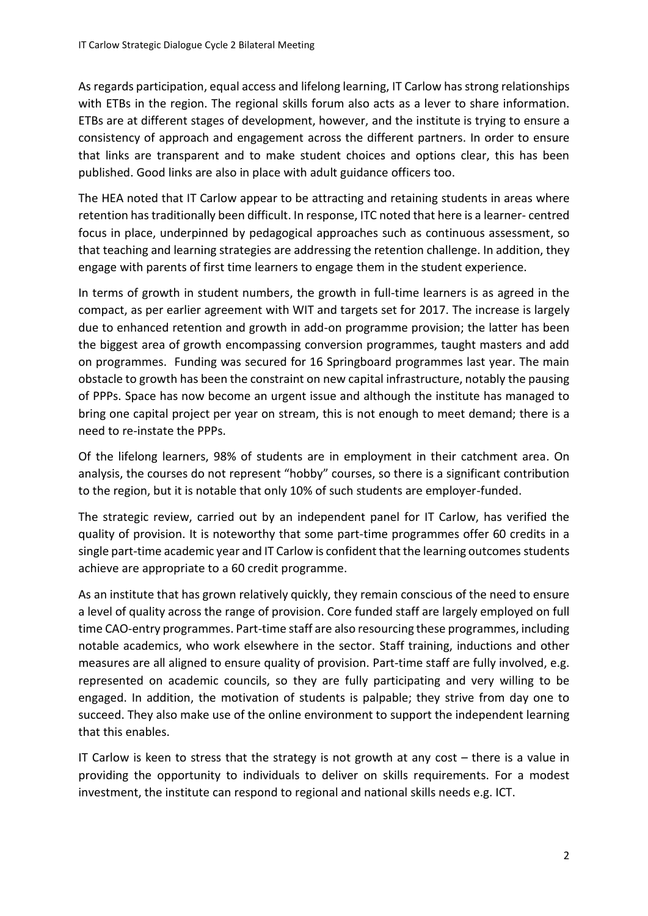As regards participation, equal access and lifelong learning, IT Carlow has strong relationships with ETBs in the region. The regional skills forum also acts as a lever to share information. ETBs are at different stages of development, however, and the institute is trying to ensure a consistency of approach and engagement across the different partners. In order to ensure that links are transparent and to make student choices and options clear, this has been published. Good links are also in place with adult guidance officers too.

The HEA noted that IT Carlow appear to be attracting and retaining students in areas where retention hastraditionally been difficult. In response, ITC noted that here is a learner- centred focus in place, underpinned by pedagogical approaches such as continuous assessment, so that teaching and learning strategies are addressing the retention challenge. In addition, they engage with parents of first time learners to engage them in the student experience.

In terms of growth in student numbers, the growth in full-time learners is as agreed in the compact, as per earlier agreement with WIT and targets set for 2017. The increase is largely due to enhanced retention and growth in add-on programme provision; the latter has been the biggest area of growth encompassing conversion programmes, taught masters and add on programmes. Funding was secured for 16 Springboard programmes last year. The main obstacle to growth has been the constraint on new capital infrastructure, notably the pausing of PPPs. Space has now become an urgent issue and although the institute has managed to bring one capital project per year on stream, this is not enough to meet demand; there is a need to re-instate the PPPs.

Of the lifelong learners, 98% of students are in employment in their catchment area. On analysis, the courses do not represent "hobby" courses, so there is a significant contribution to the region, but it is notable that only 10% of such students are employer-funded.

The strategic review, carried out by an independent panel for IT Carlow, has verified the quality of provision. It is noteworthy that some part-time programmes offer 60 credits in a single part-time academic year and IT Carlow is confident that the learning outcomes students achieve are appropriate to a 60 credit programme.

As an institute that has grown relatively quickly, they remain conscious of the need to ensure a level of quality across the range of provision. Core funded staff are largely employed on full time CAO-entry programmes. Part-time staff are also resourcing these programmes, including notable academics, who work elsewhere in the sector. Staff training, inductions and other measures are all aligned to ensure quality of provision. Part-time staff are fully involved, e.g. represented on academic councils, so they are fully participating and very willing to be engaged. In addition, the motivation of students is palpable; they strive from day one to succeed. They also make use of the online environment to support the independent learning that this enables.

IT Carlow is keen to stress that the strategy is not growth at any cost  $-$  there is a value in providing the opportunity to individuals to deliver on skills requirements. For a modest investment, the institute can respond to regional and national skills needs e.g. ICT.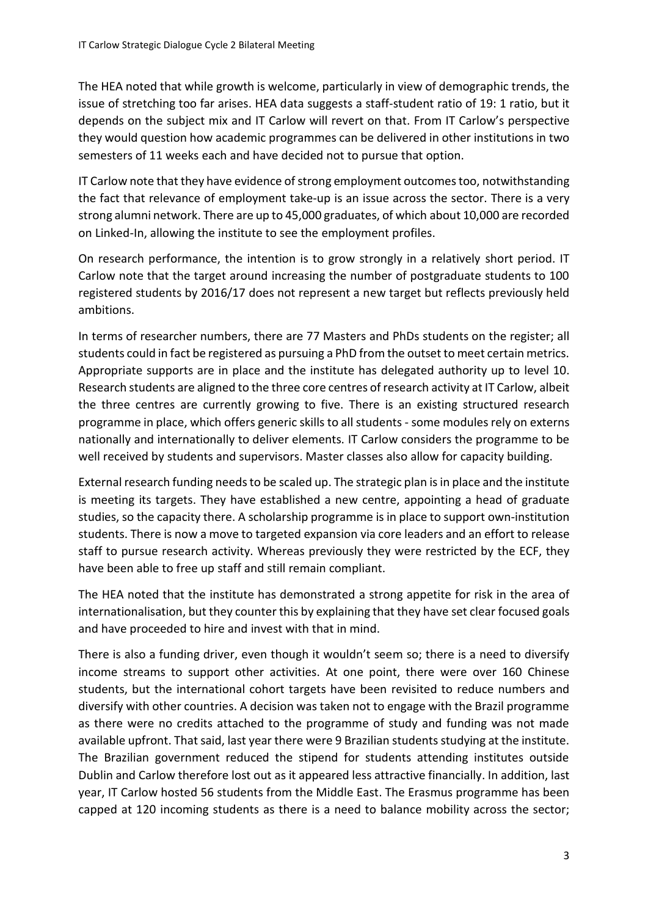The HEA noted that while growth is welcome, particularly in view of demographic trends, the issue of stretching too far arises. HEA data suggests a staff-student ratio of 19: 1 ratio, but it depends on the subject mix and IT Carlow will revert on that. From IT Carlow's perspective they would question how academic programmes can be delivered in other institutions in two semesters of 11 weeks each and have decided not to pursue that option.

IT Carlow note that they have evidence of strong employment outcomes too, notwithstanding the fact that relevance of employment take-up is an issue across the sector. There is a very strong alumni network. There are up to 45,000 graduates, of which about 10,000 are recorded on Linked-In, allowing the institute to see the employment profiles.

On research performance, the intention is to grow strongly in a relatively short period. IT Carlow note that the target around increasing the number of postgraduate students to 100 registered students by 2016/17 does not represent a new target but reflects previously held ambitions.

In terms of researcher numbers, there are 77 Masters and PhDs students on the register; all students could in fact be registered as pursuing a PhD from the outset to meet certain metrics. Appropriate supports are in place and the institute has delegated authority up to level 10. Research students are aligned to the three core centres of research activity at IT Carlow, albeit the three centres are currently growing to five. There is an existing structured research programme in place, which offers generic skills to all students - some modules rely on externs nationally and internationally to deliver elements. IT Carlow considers the programme to be well received by students and supervisors. Master classes also allow for capacity building.

External research funding needsto be scaled up. The strategic plan is in place and the institute is meeting its targets. They have established a new centre, appointing a head of graduate studies, so the capacity there. A scholarship programme is in place to support own-institution students. There is now a move to targeted expansion via core leaders and an effort to release staff to pursue research activity. Whereas previously they were restricted by the ECF, they have been able to free up staff and still remain compliant.

The HEA noted that the institute has demonstrated a strong appetite for risk in the area of internationalisation, but they counter this by explaining that they have set clear focused goals and have proceeded to hire and invest with that in mind.

There is also a funding driver, even though it wouldn't seem so; there is a need to diversify income streams to support other activities. At one point, there were over 160 Chinese students, but the international cohort targets have been revisited to reduce numbers and diversify with other countries. A decision was taken not to engage with the Brazil programme as there were no credits attached to the programme of study and funding was not made available upfront. That said, last year there were 9 Brazilian students studying at the institute. The Brazilian government reduced the stipend for students attending institutes outside Dublin and Carlow therefore lost out as it appeared less attractive financially. In addition, last year, IT Carlow hosted 56 students from the Middle East. The Erasmus programme has been capped at 120 incoming students as there is a need to balance mobility across the sector;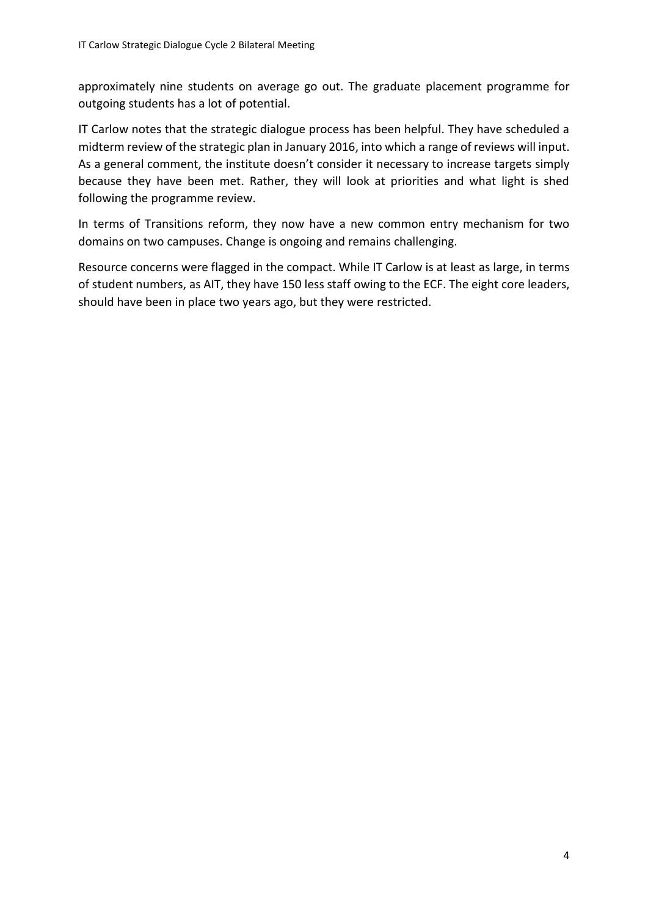approximately nine students on average go out. The graduate placement programme for outgoing students has a lot of potential.

IT Carlow notes that the strategic dialogue process has been helpful. They have scheduled a midterm review of the strategic plan in January 2016, into which a range of reviews will input. As a general comment, the institute doesn't consider it necessary to increase targets simply because they have been met. Rather, they will look at priorities and what light is shed following the programme review.

In terms of Transitions reform, they now have a new common entry mechanism for two domains on two campuses. Change is ongoing and remains challenging.

Resource concerns were flagged in the compact. While IT Carlow is at least as large, in terms of student numbers, as AIT, they have 150 less staff owing to the ECF. The eight core leaders, should have been in place two years ago, but they were restricted.